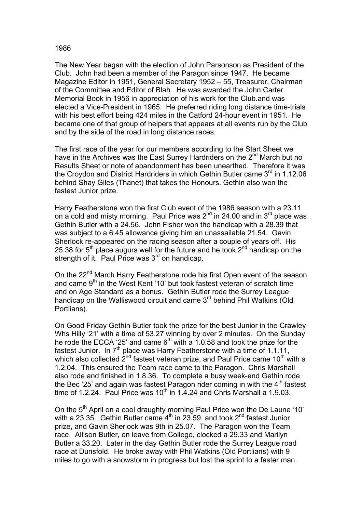## 1986

The New Year began with the election of John Parsonson as President of the Club. John had been a member of the Paragon since 1947. He became Magazine Editor in 1951, General Secretary 1952 – 55, Treasurer, Chairman of the Committee and Editor of Blah. He was awarded the John Carter Memorial Book in 1956 in appreciation of his work for the Club.and was elected a Vice-President in 1965. He preferred riding long distance time-trials with his best effort being 424 miles in the Catford 24-hour event in 1951. He became one of that group of helpers that appears at all events run by the Club and by the side of the road in long distance races.

The first race of the year for our members according to the Start Sheet we have in the Archives was the East Surrey Hardriders on the  $2^{nd}$  March but no Results Sheet or note of abandonment has been unearthed. Therefore it was the Croydon and District Hardriders in which Gethin Butler came  $3<sup>rd</sup>$  in 1.12.06 behind Shay Giles (Thanet) that takes the Honours. Gethin also won the fastest Junior prize.

Harry Featherstone won the first Club event of the 1986 season with a 23.11 on a cold and misty morning. Paul Price was  $2^{nd}$  in 24.00 and in  $3^{rd}$  place was Gethin Butler with a 24.56. John Fisher won the handicap with a 28.39 that was subject to a 6.45 allowance giving him an unassailable 21.54. Gavin Sherlock re-appeared on the racing season after a couple of years off. His 25.38 for  $5<sup>th</sup>$  place augurs well for the future and he took  $2<sup>nd</sup>$  handicap on the strength of it. Paul Price was 3<sup>rd</sup> on handicap.

On the 22<sup>nd</sup> March Harry Featherstone rode his first Open event of the season and came 9<sup>th</sup> in the West Kent '10' but took fastest veteran of scratch time and on Age Standard as a bonus. Gethin Butler rode the Surrey League handicap on the Walliswood circuit and came 3<sup>rd</sup> behind Phil Watkins (Old Portlians).

On Good Friday Gethin Butler took the prize for the best Junior in the Crawley Whs Hilly '21' with a time of 53.27 winning by over 2 minutes. On the Sunday he rode the ECCA '25' and came  $6<sup>th</sup>$  with a 1.0.58 and took the prize for the fastest Junior. In  $7<sup>th</sup>$  place was Harry Featherstone with a time of 1.1.11, which also collected  $2^{nd}$  fastest veteran prize, and Paul Price came 10<sup>th</sup> with a 1.2.04. This ensured the Team race came to the Paragon. Chris Marshall also rode and finished in 1.8.36. To complete a busy week-end Gethin rode the Bec '25' and again was fastest Paragon rider coming in with the  $4<sup>th</sup>$  fastest time of 1.2.24. Paul Price was  $10^{th}$  in 1.4.24 and Chris Marshall a 1.9.03.

On the 5<sup>th</sup> April on a cool draughty morning Paul Price won the De Laune '10' with a 23.35. Gethin Butler came  $4^{\text{th}}$  in 23.59, and took  $2^{\text{nd}}$  fastest Junior prize, and Gavin Sherlock was 9th in 25.07. The Paragon won the Team race. Allison Butler, on leave from College, clocked a 29.33 and Marilyn Butler a 33.20. Later in the day Gethin Butler rode the Surrey League road race at Dunsfold. He broke away with Phil Watkins (Old Portlians) with 9 miles to go with a snowstorm in progress but lost the sprint to a faster man.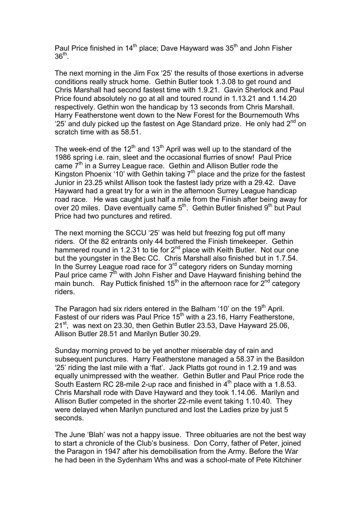Paul Price finished in  $14<sup>th</sup>$  place; Dave Hayward was  $35<sup>th</sup>$  and John Fisher  $36<sup>th</sup>$ .

The next morning in the Jim Fox '25' the results of those exertions in adverse conditions really struck home. Gethin Butler took 1.3.08 to get round and Chris Marshall had second fastest time with 1.9.21. Gavin Sherlock and Paul Price found absolutely no go at all and toured round in 1.13.21 and 1.14.20 respectively. Gethin won the handicap by 13 seconds from Chris Marshall. Harry Featherstone went down to the New Forest for the Bournemouth Whs '25' and duly picked up the fastest on Age Standard prize. He only had  $2^{nd}$  on scratch time with as 58.51.

The week-end of the  $12<sup>th</sup>$  and  $13<sup>th</sup>$  April was well up to the standard of the 1986 spring i.e. rain, sleet and the occasional flurries of snow! Paul Price came 7<sup>th</sup> in a Surrey League race. Gethin and Allison Butler rode the Kingston Phoenix '10' with Gethin taking  $7<sup>th</sup>$  place and the prize for the fastest Junior in 23.25 whilst Allison took the fastest lady prize with a 29.42. Dave Hayward had a great try for a win in the afternoon Surrey League handicap road race. He was caught just half a mile from the Finish after being away for over 20 miles. Dave eventually came 5<sup>th</sup>. Gethin Butler finished 9<sup>th</sup> but Paul Price had two punctures and retired.

The next morning the SCCU '25' was held but freezing fog put off many riders. Of the 82 entrants only 44 bothered the Finish timekeeper. Gethin hammered round in 1.2.31 to tie for 2<sup>nd</sup> place with Keith Butler. Not our one but the youngster in the Bec CC. Chris Marshall also finished but in 1.7.54. In the Surrey League road race for 3<sup>rd</sup> category riders on Sunday morning Paul price came  $\vec{\tau}^{\text{th}}$  with John Fisher and Dave Hayward finishing behind the main bunch. Ray Puttick finished 15<sup>th</sup> in the afternoon race for  $2<sup>nd</sup>$  category riders.

The Paragon had six riders entered in the Balham '10' on the 19<sup>th</sup> April. Fastest of our riders was Paul Price 15<sup>th</sup> with a 23.16, Harry Featherstone, 21<sup>st</sup>, was next on 23.30, then Gethin Butler 23.53, Dave Hayward 25.06, Allison Butler 28.51 and Marilyn Butler 30.29.

Sunday morning proved to be yet another miserable day of rain and subsequent punctures. Harry Featherstone managed a 58.37 in the Basildon '25' riding the last mile with a 'flat'. Jack Platts got round in 1.2.19 and was equally unimpressed with the weather. Gethin Butler and Paul Price rode the South Eastern RC 28-mile 2-up race and finished in  $4<sup>th</sup>$  place with a 1.8.53. Chris Marshall rode with Dave Hayward and they took 1.14.06. Marilyn and Allison Butler competed in the shorter 22-mile event taking 1.10.40. They were delayed when Marilyn punctured and lost the Ladies prize by just 5 seconds.

The June 'Blah' was not a happy issue. Three obituaries are not the best way to start a chronicle of the Club's business. Don Corry, father of Peter, joined the Paragon in 1947 after his demobilisation from the Army. Before the War he had been in the Sydenham Whs and was a school-mate of Pete Kitchiner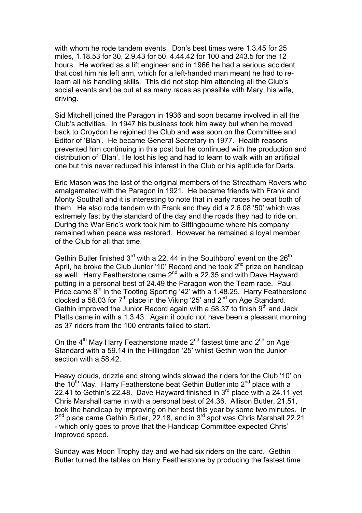with whom he rode tandem events. Don's best times were 1.3.45 for 25 miles, 1.18.53 for 30, 2.9.43 for 50, 4.44.42 for 100 and 243.5 for the 12 hours. He worked as a lift engineer and in 1966 he had a serious accident that cost him his left arm, which for a left-handed man meant he had to relearn all his handling skills. This did not stop him attending all the Club's social events and be out at as many races as possible with Mary, his wife, driving.

Sid Mitchell joined the Paragon in 1936 and soon became involved in all the Club's activities. In 1947 his business took him away but when he moved back to Croydon he rejoined the Club and was soon on the Committee and Editor of 'Blah'. He became General Secretary in 1977. Health reasons prevented him continuing in this post but he continued with the production and distribution of 'Blah'. He lost his leg and had to learn to walk with an artificial one but this never reduced his interest in the Club or his aptitude for Darts.

Eric Mason was the last of the original members of the Streatham Rovers who amalgamated with the Paragon in 1921. He became friends with Frank and Monty Southall and it is interesting to note that in early races he beat both of them. He also rode tandem with Frank and they did a 2.6.08 '50' which was extremely fast by the standard of the day and the roads they had to ride on. During the War Eric's work took him to Sittingbourne where his company remained when peace was restored. However he remained a loyal member of the Club for all that time.

Gethin Butler finished  $3<sup>rd</sup>$  with a 22. 44 in the Southboro' event on the 26<sup>th</sup> April, he broke the Club Junior '10' Record and he took  $2^{nd}$  prize on handicap as well. Harry Featherstone came 2<sup>nd</sup> with a 22.35 and with Dave Hayward putting in a personal best of 24.49 the Paragon won the Team race. Paul Price came 8<sup>th</sup> in the Tooting Sporting '42' with a 1.48.25. Harry Featherstone clocked a 58.03 for  $7<sup>th</sup>$  place in the Viking '25' and  $2<sup>nd</sup>$  on Age Standard. Gethin improved the Junior Record again with a 58.37 to finish  $9<sup>th</sup>$  and Jack Platts came in with a 1.3.43. Again it could not have been a pleasant morning as 37 riders from the 100 entrants failed to start.

On the  $4<sup>th</sup>$  May Harry Featherstone made  $2<sup>nd</sup>$  fastest time and  $2<sup>nd</sup>$  on Age Standard with a 59.14 in the Hillingdon '25' whilst Gethin won the Junior section with a 58.42.

Heavy clouds, drizzle and strong winds slowed the riders for the Club '10' on the  $10^{th}$  May. Harry Featherstone beat Gethin Butler into  $2^{nd}$  place with a 22.41 to Gethin's  $22.48$ . Dave Hayward finished in  $3<sup>rd</sup>$  place with a 24.11 yet Chris Marshall came in with a personal best of 24.36. Allison Butler, 21.51, took the handicap by improving on her best this year by some two minutes. In  $2^{nd}$  place came Gethin Butler, 22.18, and in  $3^{rd}$  spot was Chris Marshall 22.21 - which only goes to prove that the Handicap Committee expected Chris' improved speed.

Sunday was Moon Trophy day and we had six riders on the card. Gethin Butler turned the tables on Harry Featherstone by producing the fastest time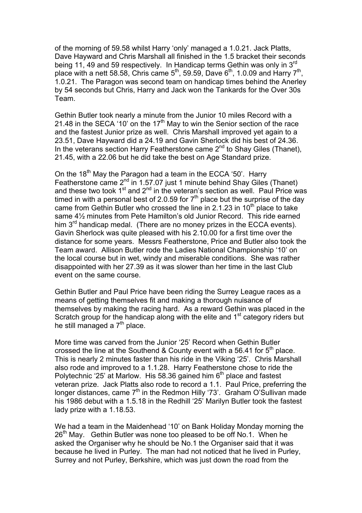of the morning of 59.58 whilst Harry 'only' managed a 1.0.21. Jack Platts, Dave Hayward and Chris Marshall all finished in the 1.5 bracket their seconds being 11, 49 and 59 respectively. In Handicap terms Gethin was only in 3<sup>rd</sup> place with a nett 58.58, Chris came  $5<sup>th</sup>$ , 59.59, Dave  $6<sup>th</sup>$ , 1.0.09 and Harry  $7<sup>th</sup>$ , 1.0.21. The Paragon was second team on handicap times behind the Anerley by 54 seconds but Chris, Harry and Jack won the Tankards for the Over 30s Team.

Gethin Butler took nearly a minute from the Junior 10 miles Record with a 21.48 in the SECA '10' on the 17<sup>th</sup> May to win the Senior section of the race and the fastest Junior prize as well. Chris Marshall improved yet again to a 23.51, Dave Hayward did a 24.19 and Gavin Sherlock did his best of 24.36. In the veterans section Harry Featherstone came 2<sup>nd</sup> to Shay Giles (Thanet), 21.45, with a 22.06 but he did take the best on Age Standard prize.

On the 18<sup>th</sup> May the Paragon had a team in the ECCA '50'. Harry Featherstone came 2<sup>nd</sup> in 1.57.07 just 1 minute behind Shay Giles (Thanet) and these two took  $1<sup>st</sup>$  and  $2<sup>nd</sup>$  in the veteran's section as well. Paul Price was timed in with a personal best of 2.0.59 for  $7<sup>th</sup>$  place but the surprise of the day came from Gethin Butler who crossed the line in 2.1.23 in 10<sup>th</sup> place to take same 4½ minutes from Pete Hamilton's old Junior Record. This ride earned him 3<sup>rd</sup> handicap medal. (There are no money prizes in the ECCA events). Gavin Sherlock was quite pleased with his 2.10.00 for a first time over the distance for some years. Messrs Featherstone, Price and Butler also took the Team award. Allison Butler rode the Ladies National Championship '10' on the local course but in wet, windy and miserable conditions. She was rather disappointed with her 27.39 as it was slower than her time in the last Club event on the same course.

Gethin Butler and Paul Price have been riding the Surrey League races as a means of getting themselves fit and making a thorough nuisance of themselves by making the racing hard. As a reward Gethin was placed in the Scratch group for the handicap along with the elite and 1<sup>st</sup> category riders but he still managed a  $7<sup>th</sup>$  place.

More time was carved from the Junior '25' Record when Gethin Butler crossed the line at the Southend & County event with a 56.41 for  $5<sup>th</sup>$  place. This is nearly 2 minutes faster than his ride in the Viking '25'. Chris Marshall also rode and improved to a 1.1.28. Harry Featherstone chose to ride the Polytechnic '25' at Marlow. His 58.36 gained him  $6<sup>th</sup>$  place and fastest veteran prize. Jack Platts also rode to record a 1.1. Paul Price, preferring the longer distances, came 7<sup>th</sup> in the Redmon Hilly '73'. Graham O'Sullivan made his 1986 debut with a 1.5.18 in the Redhill '25' Marilyn Butler took the fastest lady prize with a 1.18.53.

We had a team in the Maidenhead '10' on Bank Holiday Monday morning the 26<sup>th</sup> May. Gethin Butler was none too pleased to be off No.1. When he asked the Organiser why he should be No.1 the Organiser said that it was because he lived in Purley. The man had not noticed that he lived in Purley, Surrey and not Purley, Berkshire, which was just down the road from the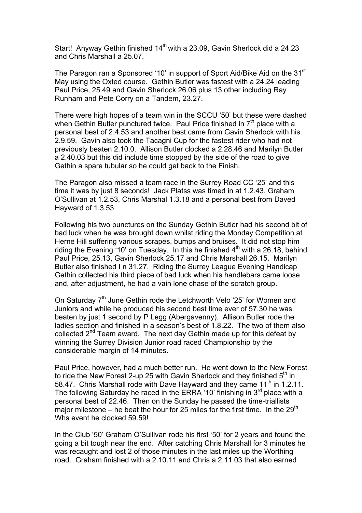Start! Anyway Gethin finished 14<sup>th</sup> with a 23.09, Gavin Sherlock did a 24.23 and Chris Marshall a 25.07.

The Paragon ran a Sponsored '10' in support of Sport Aid/Bike Aid on the 31<sup>st</sup> May using the Oxted course. Gethin Butler was fastest with a 24.24 leading Paul Price, 25.49 and Gavin Sherlock 26.06 plus 13 other including Ray Runham and Pete Corry on a Tandem, 23.27.

There were high hopes of a team win in the SCCU '50' but these were dashed when Gethin Butler punctured twice. Paul Price finished in  $7<sup>th</sup>$  place with a personal best of 2.4.53 and another best came from Gavin Sherlock with his 2.9.59. Gavin also took the Tacagni Cup for the fastest rider who had not previously beaten 2.10.0. Allison Butler clocked a 2.28.46 and Marilyn Butler a 2.40.03 but this did include time stopped by the side of the road to give Gethin a spare tubular so he could get back to the Finish.

The Paragon also missed a team race in the Surrey Road CC '25' and this time it was by just 8 seconds! Jack Platss was timed in at 1.2.43, Graham O'Sullivan at 1.2.53, Chris Marshal 1.3.18 and a personal best from Daved Hayward of 1.3.53.

Following his two punctures on the Sunday Gethin Butler had his second bit of bad luck when he was brought down whilst riding the Monday Competition at Herne Hill suffering various scrapes, bumps and bruises. It did not stop him riding the Evening '10' on Tuesday. In this he finished  $4<sup>th</sup>$  with a 26.18, behind Paul Price, 25.13, Gavin Sherlock 25.17 and Chris Marshall 26.15. Marilyn Butler also finished I n 31.27. Riding the Surrey League Evening Handicap Gethin collected his third piece of bad luck when his handlebars came loose and, after adjustment, he had a vain lone chase of the scratch group.

On Saturday  $7<sup>th</sup>$  June Gethin rode the Letchworth Velo '25' for Women and Juniors and while he produced his second best time ever of 57.30 he was beaten by just 1 second by P Legg (Abergavenny). Allison Butler rode the ladies section and finished in a season's best of 1.8.22. The two of them also collected  $2^{nd}$  Team award. The next day Gethin made up for this defeat by winning the Surrey Division Junior road raced Championship by the considerable margin of 14 minutes.

Paul Price, however, had a much better run. He went down to the New Forest to ride the New Forest 2-up 25 with Gavin Sherlock and they finished  $5<sup>th</sup>$  in 58.47. Chris Marshall rode with Dave Hayward and they came  $11<sup>th</sup>$  in 1.2.11. The following Saturday he raced in the ERRA '10' finishing in  $3<sup>rd</sup>$  place with a personal best of 22.46. Then on the Sunday he passed the time-triallists major milestone – he beat the hour for 25 miles for the first time. In the  $29<sup>th</sup>$ Whs event he clocked 59.59!

In the Club '50' Graham O'Sullivan rode his first '50' for 2 years and found the going a bit tough near the end. After catching Chris Marshall for 3 minutes he was recaught and lost 2 of those minutes in the last miles up the Worthing road. Graham finished with a 2.10.11 and Chris a 2.11.03 that also earned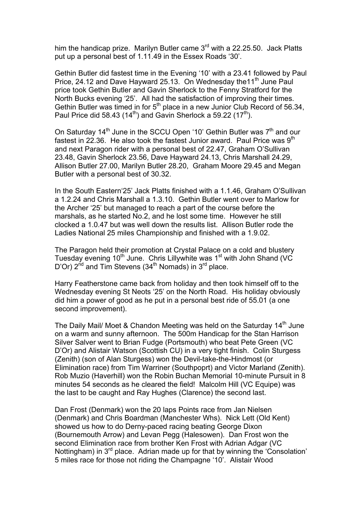him the handicap prize. Marilyn Butler came  $3<sup>rd</sup>$  with a 22.25.50. Jack Platts put up a personal best of 1.11.49 in the Essex Roads '30'.

Gethin Butler did fastest time in the Evening '10' with a 23.41 followed by Paul Price, 24.12 and Dave Hayward 25.13. On Wednesday the 11<sup>th</sup> June Paul price took Gethin Butler and Gavin Sherlock to the Fenny Stratford for the North Bucks evening '25'. All had the satisfaction of improving their times. Gethin Butler was timed in for 5<sup>th</sup> place in a new Junior Club Record of 56.34, Paul Price did 58.43 (14<sup>th</sup>) and Gavin Sherlock a 59.22 (17<sup>th</sup>).

On Saturday  $14<sup>th</sup>$  June in the SCCU Open '10' Gethin Butler was  $7<sup>th</sup>$  and our fastest in 22.36. He also took the fastest Junior award. Paul Price was  $9<sup>th</sup>$ and next Paragon rider with a personal best of 22.47, Graham O'Sullivan 23.48, Gavin Sherlock 23.56, Dave Hayward 24.13, Chris Marshall 24.29, Allison Butler 27.00, Marilyn Butler 28.20, Graham Moore 29.45 and Megan Butler with a personal best of 30.32.

In the South Eastern'25' Jack Platts finished with a 1.1.46, Graham O'Sullivan a 1.2.24 and Chris Marshall a 1.3.10. Gethin Butler went over to Marlow for the Archer '25' but managed to reach a part of the course before the marshals, as he started No.2, and he lost some time. However he still clocked a 1.0.47 but was well down the results list. Allison Butler rode the Ladies National 25 miles Championship and finished with a 1.9.02.

The Paragon held their promotion at Crystal Palace on a cold and blustery Tuesday evening  $10<sup>th</sup>$  June. Chris Lillywhite was  $1<sup>st</sup>$  with John Shand (VC D'Or)  $2^{nd}$  and Tim Stevens ( $34^{th}$  Nomads) in  $3^{rd}$  place.

Harry Featherstone came back from holiday and then took himself off to the Wednesday evening St Neots '25' on the North Road. His holiday obviously did him a power of good as he put in a personal best ride of 55.01 (a one second improvement).

The Daily Mail/ Moet & Chandon Meeting was held on the Saturday  $14<sup>th</sup>$  June on a warm and sunny afternoon. The 500m Handicap for the Stan Harrison Silver Salver went to Brian Fudge (Portsmouth) who beat Pete Green (VC D'Or) and Alistair Watson (Scottish CU) in a very tight finish. Colin Sturgess (Zenith) (son of Alan Sturgess) won the Devil-take-the-Hindmost (or Elimination race) from Tim Warriner (Southpoprt) and Victor Marland (Zenith). Rob Muzio (Haverhill) won the Robin Buchan Memorial 10-minute Pursuit in 8 minutes 54 seconds as he cleared the field! Malcolm Hill (VC Equipe) was the last to be caught and Ray Hughes (Clarence) the second last.

Dan Frost (Denmark) won the 20 laps Points race from Jan Nielsen (Denmark) and Chris Boardman (Manchester Whs). Nick Lett (Old Kent) showed us how to do Derny-paced racing beating George Dixon (Bournemouth Arrow) and Levan Pegg (Halesowen). Dan Frost won the second Elimination race from brother Ken Frost with Adrian Adgar (VC Nottingham) in 3<sup>rd</sup> place. Adrian made up for that by winning the 'Consolation' 5 miles race for those not riding the Champagne '10'. Alistair Wood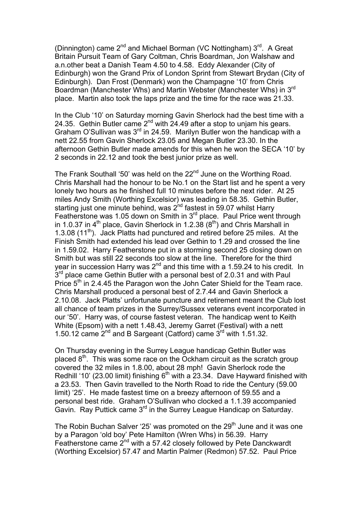(Dinnington) came  $2^{nd}$  and Michael Borman (VC Nottingham)  $3^{rd}$ . A Great Britain Pursuit Team of Gary Coltman, Chris Boardman, Jon Walshaw and a.n.other beat a Danish Team 4.50 to 4.58. Eddy Alexander (City of Edinburgh) won the Grand Prix of London Sprint from Stewart Brydan (City of Edinburgh). Dan Frost (Denmark) won the Champagne '10' from Chris Boardman (Manchester Whs) and Martin Webster (Manchester Whs) in 3rd place. Martin also took the laps prize and the time for the race was 21.33.

In the Club '10' on Saturday morning Gavin Sherlock had the best time with a 24.35. Gethin Butler came  $2^{nd}$  with 24.49 after a stop to unjam his gears. Graham O'Sullivan was 3<sup>rd</sup> in 24.59. Marilyn Butler won the handicap with a nett 22.55 from Gavin Sherlock 23.05 and Megan Butler 23.30. In the afternoon Gethin Butler made amends for this when he won the SECA '10' by 2 seconds in 22.12 and took the best junior prize as well.

The Frank Southall '50' was held on the 22<sup>nd</sup> June on the Worthing Road. Chris Marshall had the honour to be No.1 on the Start list and he spent a very lonely two hours as he finished full 10 minutes before the next rider. At 25 miles Andy Smith (Worthing Excelsior) was leading in 58.35. Gethin Butler, starting just one minute behind, was  $2^{nd}$  fastest in 59.07 whilst Harry Featherstone was 1.05 down on Smith in  $3<sup>rd</sup>$  place. Paul Price went through in 1.0.37 in  $4<sup>th</sup>$  place, Gavin Sherlock in 1.2.38 ( $8<sup>th</sup>$ ) and Chris Marshall in 1.3.08  $(11^{th})$ . Jack Platts had punctured and retired before 25 miles. At the Finish Smith had extended his lead over Gethin to 1.29 and crossed the line in 1.59.02. Harry Featherstone put in a storming second 25 closing down on Smith but was still 22 seconds too slow at the line. Therefore for the third year in succession Harry was  $2^{nd}$  and this time with a 1.59.24 to his credit. In  $3<sup>rd</sup>$  place came Gethin Butler with a personal best of 2.0.31 and with Paul Price  $5<sup>th</sup>$  in 2.4.45 the Paragon won the John Cater Shield for the Team race. Chris Marshall produced a personal best of 2.7.44 and Gavin Sherlock a 2.10.08. Jack Platts' unfortunate puncture and retirement meant the Club lost all chance of team prizes in the Surrey/Sussex veterans event incorporated in our '50'. Harry was, of course fastest veteran. The handicap went to Keith White (Epsom) with a nett 1.48.43, Jeremy Garret (Festival) with a nett 1.50.12 came  $2<sup>nd</sup>$  and B Sargeant (Catford) came  $3<sup>rd</sup>$  with 1.51.32.

On Thursday evening in the Surrey League handicap Gethin Butler was placed  $8<sup>th</sup>$ . This was some race on the Ockham circuit as the scratch group covered the 32 miles in 1.8.00, about 28 mph! Gavin Sherlock rode the Redhill '10' (23.00 limit) finishing  $6<sup>th</sup>$  with a 23.34. Dave Hayward finished with a 23.53. Then Gavin travelled to the North Road to ride the Century (59.00 limit) '25'. He made fastest time on a breezy afternoon of 59.55 and a personal best ride. Graham O'Sullivan who clocked a 1.1.39 accompanied Gavin. Ray Puttick came 3rd in the Surrey League Handicap on Saturday.

The Robin Buchan Salver '25' was promoted on the  $29<sup>th</sup>$  June and it was one by a Paragon 'old boy' Pete Hamilton (Wren Whs) in 56.39. Harry Featherstone came 2<sup>nd</sup> with a 57.42 closely followed by Pete Danckwardt (Worthing Excelsior) 57.47 and Martin Palmer (Redmon) 57.52. Paul Price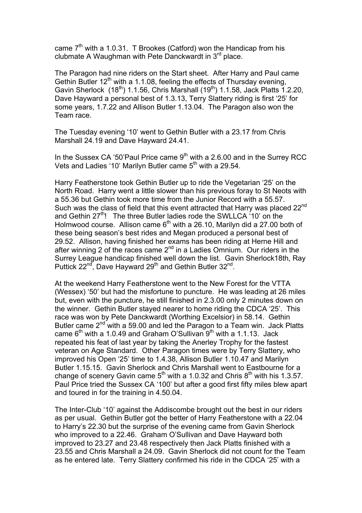came  $7<sup>th</sup>$  with a 1.0.31. T Brookes (Catford) won the Handicap from his clubmate A Waughman with Pete Danckwardt in  $3<sup>rd</sup>$  place.

The Paragon had nine riders on the Start sheet. After Harry and Paul came Gethin Butler  $12^{th}$  with a 1.1.08, feeling the effects of Thursday evening, Gavin Sherlock  $(18<sup>th</sup>)$  1.1.56, Chris Marshall  $(19<sup>th</sup>)$  1.1.58, Jack Platts 1.2.20, Dave Hayward a personal best of 1.3.13, Terry Slattery riding is first '25' for some years, 1.7.22 and Allison Butler 1.13.04. The Paragon also won the Team race.

The Tuesday evening '10' went to Gethin Butler with a 23.17 from Chris Marshall 24.19 and Dave Hayward 24.41.

In the Sussex CA '50'Paul Price came  $9<sup>th</sup>$  with a 2.6.00 and in the Surrey RCC Vets and Ladies '10' Marilyn Butler came  $5<sup>th</sup>$  with a 29.54.

Harry Featherstone took Gethin Butler up to ride the Vegetarian '25' on the North Road. Harry went a little slower than his previous foray to St Neots with a 55.36 but Gethin took more time from the Junior Record with a 55.57. Such was the class of field that this event attracted that Harry was placed 22<sup>nd</sup> and Gethin  $27<sup>th</sup>$ ! The three Butler ladies rode the SWLLCA '10' on the Holmwood course. Allison came  $6<sup>th</sup>$  with a 26.10. Marilyn did a 27.00 both of these being season's best rides and Megan produced a personal best of 29.52. Allison, having finished her exams has been riding at Herne Hill and after winning  $2$  of the races came  $2<sup>nd</sup>$  in a Ladies Omnium. Our riders in the Surrey League handicap finished well down the list. Gavin Sherlock18th, Ray Puttick 22<sup>nd</sup>, Dave Hayward 29<sup>th</sup> and Gethin Butler 32<sup>nd</sup>.

At the weekend Harry Featherstone went to the New Forest for the VTTA (Wessex) '50' but had the misfortune to puncture. He was leading at 26 miles but, even with the puncture, he still finished in 2.3.00 only 2 minutes down on the winner. Gethin Butler stayed nearer to home riding the CDCA '25'. This race was won by Pete Danckwardt (Worthing Excelsior) in 58.14. Gethin Butler came  $2^{nd}$  with a 59.00 and led the Paragon to a Team win. Jack Platts came  $6<sup>th</sup>$  with a 1.0.49 and Graham O'Sullivan  $9<sup>th</sup>$  with a 1.1.13. Jack repeated his feat of last year by taking the Anerley Trophy for the fastest veteran on Age Standard. Other Paragon times were by Terry Slattery, who improved his Open '25' time to 1.4.38, Allison Butler 1.10.47 and Marilyn Butler 1.15.15. Gavin Sherlock and Chris Marshall went to Eastbourne for a change of scenery Gavin came  $5<sup>th</sup>$  with a 1.0.32 and Chris  $8<sup>th</sup>$  with his 1.3.57. Paul Price tried the Sussex CA '100' but after a good first fifty miles blew apart and toured in for the training in 4.50.04.

The Inter-Club '10' against the Addiscombe brought out the best in our riders as per usual. Gethin Butler got the better of Harry Featherstone with a 22.04 to Harry's 22.30 but the surprise of the evening came from Gavin Sherlock who improved to a 22.46. Graham O'Sullivan and Dave Hayward both improved to 23.27 and 23.48 respectively then Jack Platts finished with a 23.55 and Chris Marshall a 24.09. Gavin Sherlock did not count for the Team as he entered late. Terry Slattery confirmed his ride in the CDCA '25' with a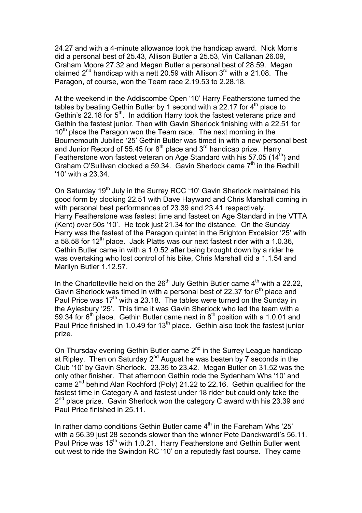24.27 and with a 4-minute allowance took the handicap award. Nick Morris did a personal best of 25.43, Allison Butler a 25.53, Vin Callanan 26.09, Graham Moore 27.32 and Megan Butler a personal best of 28.59. Megan claimed  $2^{nd}$  handicap with a nett 20.59 with Allison  $3^{rd}$  with a 21.08. The Paragon, of course, won the Team race 2.19.53 to 2.28.18.

At the weekend in the Addiscombe Open '10' Harry Featherstone turned the tables by beating Gethin Butler by 1 second with a 22.17 for  $4<sup>th</sup>$  place to Gethin's 22.18 for  $5<sup>th</sup>$ . In addition Harry took the fastest veterans prize and Gethin the fastest junior. Then with Gavin Sherlock finishing with a 22.51 for  $10<sup>th</sup>$  place the Paragon won the Team race. The next morning in the Bournemouth Jubilee '25' Gethin Butler was timed in with a new personal best and Junior Record of 55.45 for  $8<sup>th</sup>$  place and  $3<sup>rd</sup>$  handicap prize. Harry Featherstone won fastest veteran on Age Standard with his 57.05 (14<sup>th</sup>) and Graham O'Sullivan clocked a 59.34. Gavin Sherlock came 7<sup>th</sup> in the Redhill '10' with a 23.34.

On Saturday 19<sup>th</sup> July in the Surrey RCC '10' Gavin Sherlock maintained his good form by clocking 22.51 with Dave Hayward and Chris Marshall coming in with personal best performances of 23.39 and 23.41 respectively. Harry Featherstone was fastest time and fastest on Age Standard in the VTTA (Kent) over 50s '10'. He took just 21.34 for the distance. On the Sunday Harry was the fastest of the Paragon quintet in the Brighton Excelsior '25' with a 58.58 for 12<sup>th</sup> place. Jack Platts was our next fastest rider with a 1.0.36, Gethin Butler came in with a 1.0.52 after being brought down by a rider he was overtaking who lost control of his bike, Chris Marshall did a 1.1.54 and Marilyn Butler 1.12.57.

In the Charlotteville held on the  $26<sup>th</sup>$  July Gethin Butler came  $4<sup>th</sup>$  with a 22.22, Gavin Sherlock was timed in with a personal best of 22.37 for  $6<sup>th</sup>$  place and Paul Price was  $17<sup>th</sup>$  with a 23.18. The tables were turned on the Sunday in the Aylesbury '25'. This time it was Gavin Sherlock who led the team with a  $59.34$  for  $6<sup>th</sup>$  place. Gethin Butler came next in  $8<sup>th</sup>$  position with a 1.0.01 and Paul Price finished in 1.0.49 for 13<sup>th</sup> place. Gethin also took the fastest junior prize.

On Thursday evening Gethin Butler came  $2^{nd}$  in the Surrey League handicap at Ripley. Then on Saturday 2nd August he was beaten by 7 seconds in the Club '10' by Gavin Sherlock. 23.35 to 23.42. Megan Butler on 31.52 was the only other finisher. That afternoon Gethin rode the Sydenham Whs '10' and came 2nd behind Alan Rochford (Poly) 21.22 to 22.16. Gethin qualified for the fastest time in Category A and fastest under 18 rider but could only take the  $2<sup>nd</sup>$  place prize. Gavin Sherlock won the category C award with his 23.39 and Paul Price finished in 25.11.

In rather damp conditions Gethin Butler came  $4<sup>th</sup>$  in the Fareham Whs '25' with a 56.39 just 28 seconds slower than the winner Pete Danckwardt's 56.11. Paul Price was 15<sup>th</sup> with 1.0.21. Harry Featherstone and Gethin Butler went out west to ride the Swindon RC '10' on a reputedly fast course. They came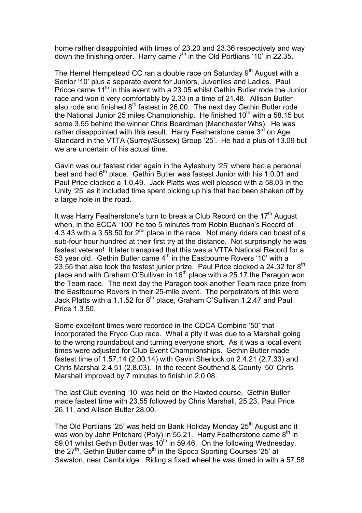home rather disappointed with times of 23.20 and 23.36 respectively and way down the finishing order. Harry came  $7<sup>th</sup>$  in the Old Portlians '10' in 22.35.

The Hemel Hempstead CC ran a double race on Saturday  $9<sup>th</sup>$  August with a Senior '10' plus a separate event for Juniors, Juveniles and Ladies. Paul Pricce came 11<sup>th</sup> in this event with a 23.05 whilst Gethin Butler rode the Junior race and won it very comfortably by 2.33 in a time of 21.48. Allison Butler also rode and finished  $8<sup>th</sup>$  fastest in 26.00. The next day Gethin Butler rode the National Junior 25 miles Championship. He finished  $10<sup>th</sup>$  with a 58.15 but some 3.55 behind the winner Chris Boardman (Manchester Whs). He was rather disappointed with this result. Harry Featherstone came 3<sup>rd</sup> on Age Standard in the VTTA (Surrey/Sussex) Group '25'. He had a plus of 13.09 but we are uncertain of his actual time.

Gavin was our fastest rider again in the Aylesbury '25' where had a personal best and had  $6<sup>th</sup>$  place. Gethin Butler was fastest Junior with his 1.0.01 and Paul Price clocked a 1.0.49. Jack Platts was well pleased with a 58.03 in the Unity '25' as it included time spent picking up his that had been shaken off by a large hole in the road.

It was Harry Featherstone's turn to break a Club Record on the  $17<sup>th</sup>$  August when, in the ECCA '100' he too 5 minutes from Robin Buchan's Record of 4.3.43 with a 3.58.50 for  $2^{nd}$  place in the race. Not many riders can boast of a sub-four hour hundred at their first try at the distance. Not surprisingly he was fastest veteran! It later transpired that this was a VTTA National Record for a 53 year old. Gethin Butler came  $4<sup>th</sup>$  in the Eastbourne Rovers '10' with a 23.55 that also took the fastest junior prize. Paul Price clocked a 24.32 for  $8<sup>th</sup>$ place and with Graham O'Sullivan in  $16<sup>th</sup>$  place with a 25.17 the Paragon won the Team race. The next day the Paragon took another Team race prize from the Eastbourne Rovers in their 25-mile event. The perpetrators of this were Jack Platts with a 1.1.52 for  $8<sup>th</sup>$  place, Graham O'Sullivan 1.2.47 and Paul Price 1.3.50.

Some excellent times were recorded in the CDCA Combine '50' that incorporated the Fryco Cup race. What a pity it was due to a Marshall going to the wrong roundabout and turning everyone short. As it was a local event times were adjusted for Club Event Championships. Gethin Butler made fastest time of 1.57.14 (2.00.14) with Gavin Sherlock on 2.4.21 (2.7.33) and Chris Marshal 2.4.51 (2.8.03). In the recent Southend & County '50' Chris Marshall improved by 7 minutes to finish in 2.0.08.

The last Club evening '10' was held on the Haxted course. Gethin Butler made fastest time with 23.55 followed by Chris Marshall, 25.23, Paul Price 26.11, and Allison Butler 28.00.

The Old Portlians '25' was held on Bank Holiday Monday 25<sup>th</sup> August and it was won by John Pritchard (Poly) in 55.21. Harry Featherstone came 8<sup>th</sup> in 59.01 whilst Gethin Butler was  $10^{th}$  in 59.46. On the following Wednesday, the  $27<sup>th</sup>$ , Gethin Butler came  $5<sup>th</sup>$  in the Spoco Sporting Courses '25' at Sawston, near Cambridge. Riding a fixed wheel he was timed in with a 57.58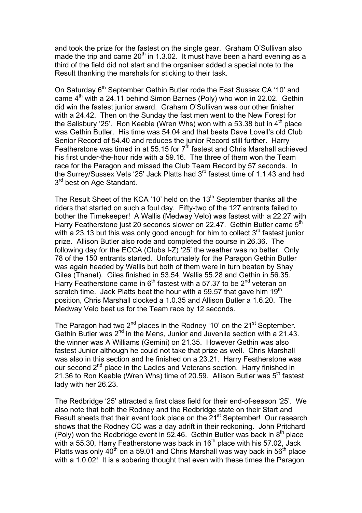and took the prize for the fastest on the single gear. Graham O'Sullivan also made the trip and came  $20<sup>th</sup>$  in 1.3.02. It must have been a hard evening as a third of the field did not start and the organiser added a special note to the Result thanking the marshals for sticking to their task.

On Saturday 6<sup>th</sup> September Gethin Butler rode the East Sussex CA '10' and came  $4<sup>th</sup>$  with a 24.11 behind Simon Barnes (Poly) who won in 22.02. Gethin did win the fastest junior award. Graham O'Sullivan was our other finisher with a 24.42. Then on the Sunday the fast men went to the New Forest for the Salisbury '25'. Ron Keeble (Wren Whs) won with a 53.38 but in  $4<sup>th</sup>$  place was Gethin Butler. His time was 54.04 and that beats Dave Lovell's old Club Senior Record of 54.40 and reduces the junior Record still further. Harry Featherstone was timed in at 55.15 for  $7<sup>th</sup>$  fastest and Chris Marshall achieved his first under-the-hour ride with a 59.16. The three of them won the Team race for the Paragon and missed the Club Team Record by 57 seconds. In the Surrey/Sussex Vets '25' Jack Platts had 3rd fastest time of 1.1.43 and had 3<sup>rd</sup> best on Age Standard.

The Result Sheet of the KCA '10' held on the 13<sup>th</sup> September thanks all the riders that started on such a foul day. Fifty-two of the 127 entrants failed to bother the Timekeeper! A Wallis (Medway Velo) was fastest with a 22.27 with Harry Featherstone just 20 seconds slower on 22.47. Gethin Butler came 5<sup>th</sup> with a 23.13 but this was only good enough for him to collect 3<sup>rd</sup> fastest junior prize. Allison Butler also rode and completed the course in 26.36. The following day for the ECCA (Clubs I-Z) '25' the weather was no better. Only 78 of the 150 entrants started. Unfortunately for the Paragon Gethin Butler was again headed by Wallis but both of them were in turn beaten by Shay Giles (Thanet). Giles finished in 53.54, Wallis 55.28 and Gethin in 56.35. Harry Featherstone came in  $6<sup>th</sup>$  fastest with a 57.37 to be  $2<sup>nd</sup>$  veteran on scratch time. Jack Platts beat the hour with a 59.57 that gave him  $19<sup>th</sup>$ position, Chris Marshall clocked a 1.0.35 and Allison Butler a 1.6.20. The Medway Velo beat us for the Team race by 12 seconds.

The Paragon had two  $2^{nd}$  places in the Rodney '10' on the  $21^{st}$  September. Gethin Butler was 2<sup>nd</sup> in the Mens, Junior and Juvenile section with a 21.43. the winner was A Williams (Gemini) on 21.35. However Gethin was also fastest Junior although he could not take that prize as well. Chris Marshall was also in this section and he finished on a 23.21. Harry Featherstone was our second 2<sup>nd</sup> place in the Ladies and Veterans section. Harry finished in 21.36 to Ron Keeble (Wren Whs) time of 20.59. Allison Butler was  $5<sup>th</sup>$  fastest lady with her 26.23.

The Redbridge '25' attracted a first class field for their end-of-season '25'. We also note that both the Rodney and the Redbridge state on their Start and Result sheets that their event took place on the 21<sup>st</sup> September! Our research shows that the Rodney CC was a day adrift in their reckoning. John Pritchard (Poly) won the Redbridge event in 52.46. Gethin Butler was back in  $8<sup>th</sup>$  place with  $a$  55.30, Harry Featherstone was back in 16<sup>th</sup> place with his 57.02, Jack Platts was only 40<sup>th</sup> on a 59.01 and Chris Marshall was way back in 56<sup>th</sup> place with a 1.0.02! It is a sobering thought that even with these times the Paragon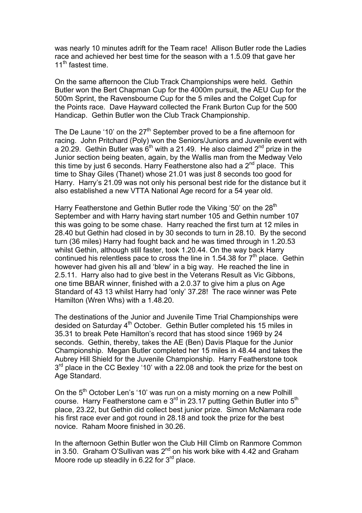was nearly 10 minutes adrift for the Team race! Allison Butler rode the Ladies race and achieved her best time for the season with a 1.5.09 that gave her 11<sup>th</sup> fastest time.

On the same afternoon the Club Track Championships were held. Gethin Butler won the Bert Chapman Cup for the 4000m pursuit, the AEU Cup for the 500m Sprint, the Ravensbourne Cup for the 5 miles and the Colget Cup for the Points race. Dave Hayward collected the Frank Burton Cup for the 500 Handicap. Gethin Butler won the Club Track Championship.

The De Laune '10' on the  $27<sup>th</sup>$  September proved to be a fine afternoon for racing. John Pritchard (Poly) won the Seniors/Juniors and Juvenile event with a 20.29. Gethin Butler was  $6<sup>th</sup>$  with a 21.49. He also claimed 2<sup>nd</sup> prize in the Junior section being beaten, again, by the Wallis man from the Medway Velo this time by just 6 seconds. Harry Featherstone also had a  $2^{nd}$  place. This time to Shay Giles (Thanet) whose 21.01 was just 8 seconds too good for Harry. Harry's 21.09 was not only his personal best ride for the distance but it also established a new VTTA National Age record for a 54 year old.

Harry Featherstone and Gethin Butler rode the Viking '50' on the 28<sup>th</sup> September and with Harry having start number 105 and Gethin number 107 this was going to be some chase. Harry reached the first turn at 12 miles in 28.40 but Gethin had closed in by 30 seconds to turn in 28.10. By the second turn (36 miles) Harry had fought back and he was timed through in 1.20.53 whilst Gethin, although still faster, took 1.20.44. On the way back Harry continued his relentless pace to cross the line in 1.54.38 for  $7<sup>th</sup>$  place. Gethin however had given his all and 'blew' in a big way. He reached the line in 2.5.11. Harry also had to give best in the Veterans Result as Vic Gibbons, one time BBAR winner, finished with a 2.0.37 to give him a plus on Age Standard of 43 13 whilst Harry had 'only' 37.28! The race winner was Pete Hamilton (Wren Whs) with a 1.48.20.

The destinations of the Junior and Juvenile Time Trial Championships were desided on Saturday 4<sup>th</sup> October. Gethin Butler completed his 15 miles in 35.31 to break Pete Hamilton's record that has stood since 1969 by 24 seconds. Gethin, thereby, takes the AE (Ben) Davis Plaque for the Junior Championship. Megan Butler completed her 15 miles in 48.44 and takes the Aubrey Hill Shield for the Juvenile Championship. Harry Featherstone took  $3<sup>rd</sup>$  place in the CC Bexley '10' with a 22.08 and took the prize for the best on Age Standard.

On the 5<sup>th</sup> October Len's '10' was run on a misty morning on a new Polhill course. Harry Featherstone cam e 3<sup>rd</sup> in 23.17 putting Gethin Butler into 5<sup>th</sup> place, 23.22, but Gethin did collect best junior prize. Simon McNamara rode his first race ever and got round in 28.18 and took the prize for the best novice. Raham Moore finished in 30.26.

In the afternoon Gethin Butler won the Club Hill Climb on Ranmore Common in 3.50. Graham O'Sullivan was  $2^{nd}$  on his work bike with 4.42 and Graham Moore rode up steadily in 6.22 for  $3<sup>rd</sup>$  place.